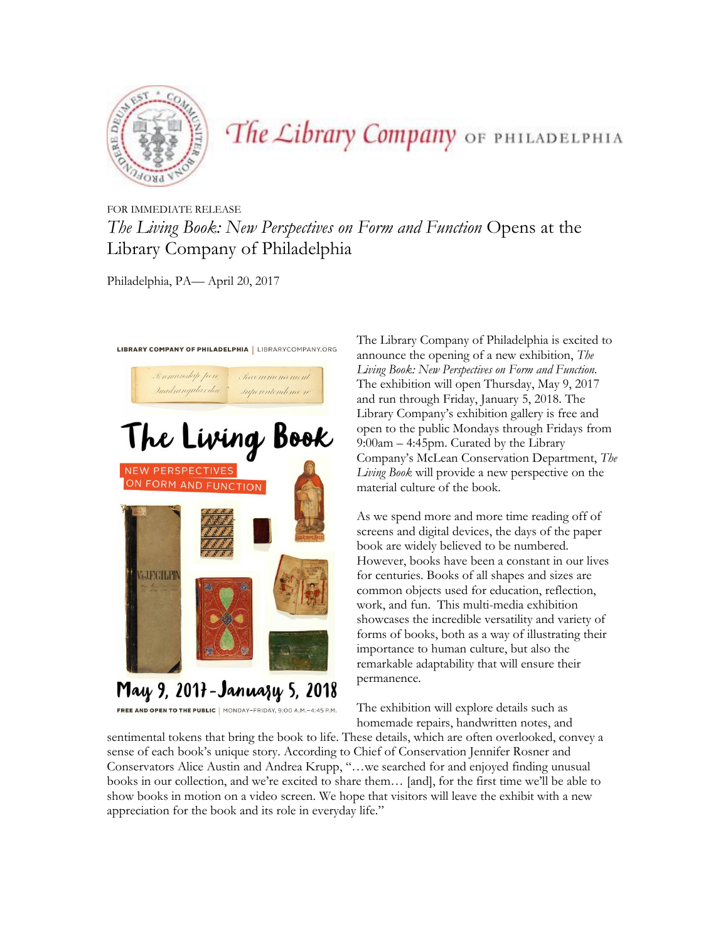

## The Library Company OF PHILADELPHIA

## FOR IMMEDIATE RELEASE *The Living Book: New Perspectives on Form and Function* Opens at the Library Company of Philadelphia

Philadelphia, PA— April 20, 2017



May 9, 2017 - Januazy 5, 2018

FREE AND OPEN TO THE PUBLIC | MONDAY-FRIDAY, 9:00 A.M.-4:45 P.M.

The Library Company of Philadelphia is excited to announce the opening of a new exhibition, *The Living Book: New Perspectives on Form and Function.*  The exhibition will open Thursday, May 9, 2017 and run through Friday, January 5, 2018. The Library Company's exhibition gallery is free and open to the public Mondays through Fridays from 9:00am – 4:45pm. Curated by the Library Company's McLean Conservation Department, *The Living Book* will provide a new perspective on the material culture of the book.

As we spend more and more time reading off of screens and digital devices, the days of the paper book are widely believed to be numbered. However, books have been a constant in our lives for centuries. Books of all shapes and sizes are common objects used for education, reflection, work, and fun. This multi-media exhibition showcases the incredible versatility and variety of forms of books, both as a way of illustrating their importance to human culture, but also the remarkable adaptability that will ensure their permanence.

The exhibition will explore details such as homemade repairs, handwritten notes, and

sentimental tokens that bring the book to life. These details, which are often overlooked, convey a sense of each book's unique story. According to Chief of Conservation Jennifer Rosner and Conservators Alice Austin and Andrea Krupp, "…we searched for and enjoyed finding unusual books in our collection, and we're excited to share them… [and], for the first time we'll be able to show books in motion on a video screen. We hope that visitors will leave the exhibit with a new appreciation for the book and its role in everyday life."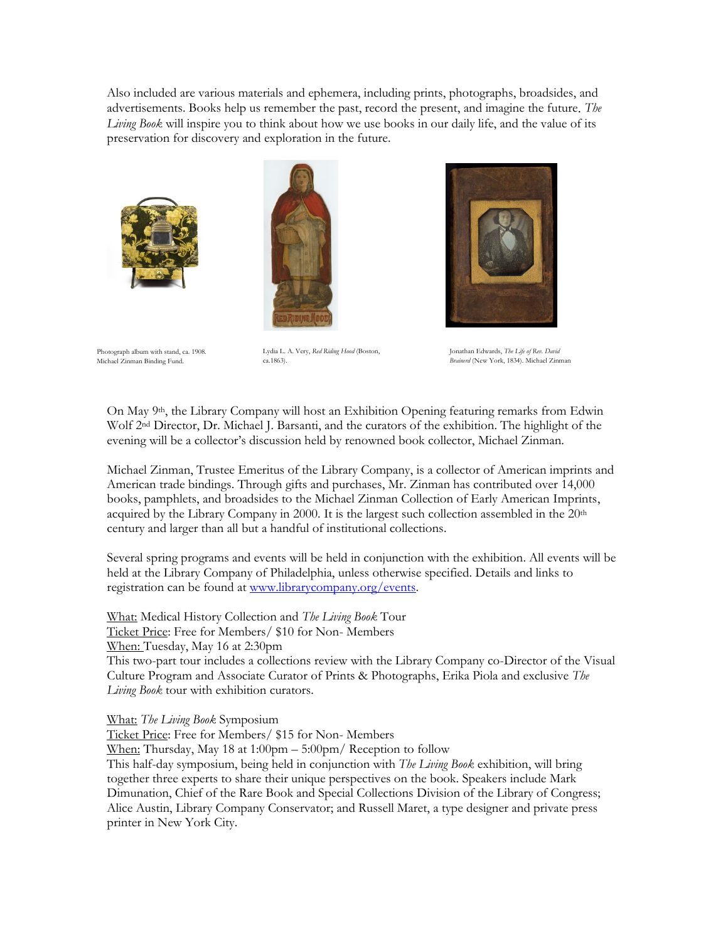Also included are various materials and ephemera, including prints, photographs, broadsides, and advertisements. Books help us remember the past, record the present, and imagine the future. *The Living Book* will inspire you to think about how we use books in our daily life, and the value of its preservation for discovery and exploration in the future.







Photograph album with stand, ca. 1908. Michael Zinman Binding Fund.

Lydia L. A. Very, *Red Riding Hood* (Boston, ca.1863).

Jonathan Edwards, *The Life of Rev. David Brainerd* (New York, 1834). Michael Zinman

On May 9th, the Library Company will host an Exhibition Opening featuring remarks from Edwin Wolf 2nd Director, Dr. Michael J. Barsanti, and the curators of the exhibition. The highlight of the evening will be a collector's discussion held by renowned book collector, Michael Zinman.

Michael Zinman, Trustee Emeritus of the Library Company, is a collector of American imprints and American trade bindings. Through gifts and purchases, Mr. Zinman has contributed over 14,000 books, pamphlets, and broadsides to the Michael Zinman Collection of Early American Imprints, acquired by the Library Company in 2000. It is the largest such collection assembled in the  $20<sup>th</sup>$ century and larger than all but a handful of institutional collections.

Several spring programs and events will be held in conjunction with the exhibition. All events will be held at the Library Company of Philadelphia, unless otherwise specified. Details and links to registration can be found at [www.librarycompany.org/events.](http://www.librarycompany.org/events)

What: Medical History Collection and *The Living Book* Tour Ticket Price: Free for Members/ \$10 for Non- Members When: Tuesday, May 16 at 2:30pm

This two-part tour includes a collections review with the Library Company co-Director of the Visual Culture Program and Associate Curator of Prints & Photographs, Erika Piola and exclusive *The Living Book* tour with exhibition curators.

What: *The Living Book* Symposium

Ticket Price: Free for Members/ \$15 for Non- Members

When: Thursday, May 18 at 1:00pm – 5:00pm/ Reception to follow

This half-day symposium, being held in conjunction with *The Living Book* exhibition, will bring together three experts to share their unique perspectives on the book. Speakers include Mark Dimunation, Chief of the Rare Book and Special Collections Division of the Library of Congress; Alice Austin, Library Company Conservator; and Russell Maret, a type designer and private press printer in New York City.